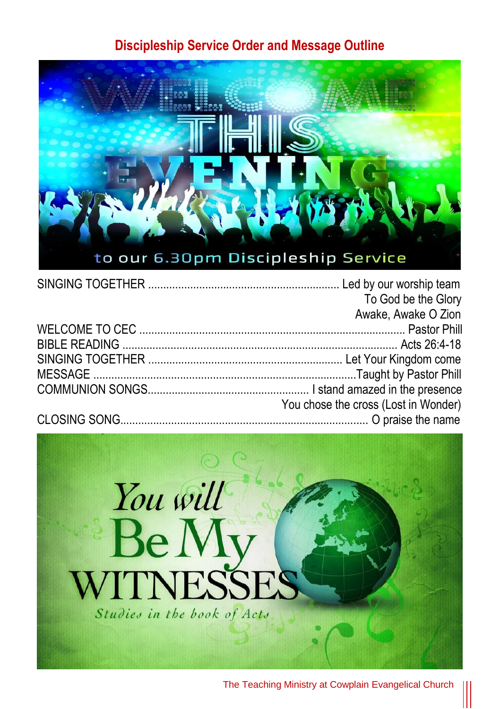## **Discipleship Service Order and Message Outline**



| To God be the Glory                  |
|--------------------------------------|
| Awake, Awake O Zion                  |
|                                      |
|                                      |
|                                      |
|                                      |
|                                      |
| You chose the cross (Lost in Wonder) |
|                                      |



The Teaching Ministry at Cowplain Evangelical Church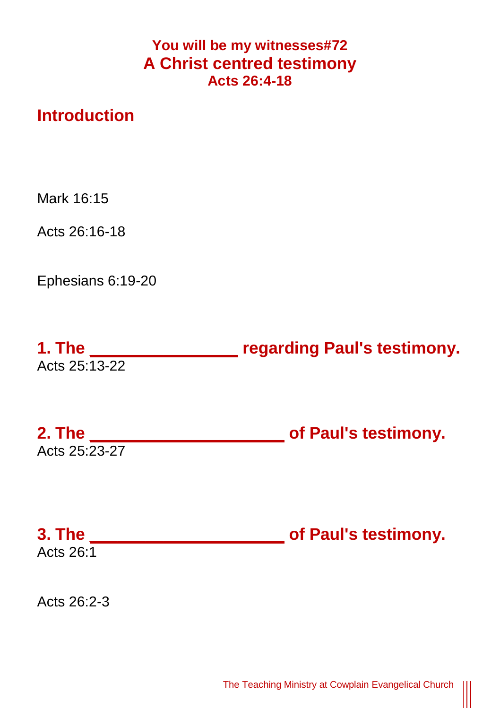## **You will be my witnesses#72 A Christ centred testimony Acts 26:4-18**

## **Introduction**

Mark 16:15

Acts 26:16-18

Ephesians 6:19-20

| 1. The        | regarding Paul's testimony. |
|---------------|-----------------------------|
| Acts 25:13-22 |                             |

**2. The \_\_\_\_\_\_\_\_\_\_\_\_\_\_\_\_\_\_\_\_\_ of Paul's testimony.** Acts 25:23-27

**3. The \_\_\_\_\_\_\_\_\_\_\_\_\_\_\_\_\_\_\_\_\_ of Paul's testimony.** Acts  $26:1$ 

Acts 26:2-3

 $\parallel$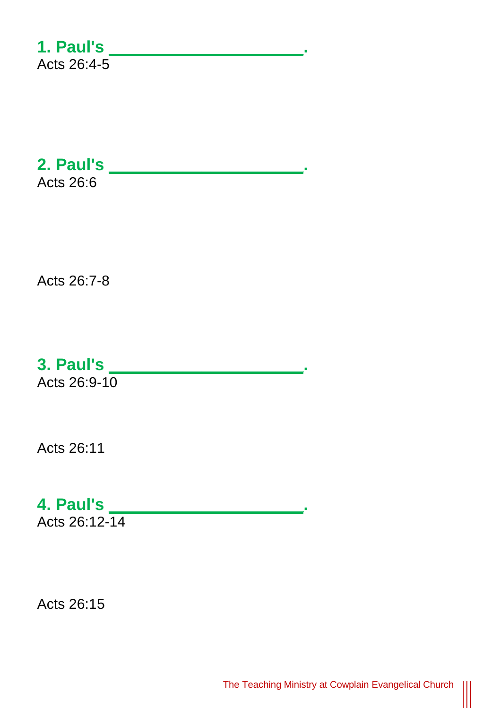**1. Paul's \_\_\_\_\_\_\_\_\_\_\_\_\_\_\_\_\_\_\_\_\_.** Acts 26:4-5

**2. Paul's \_\_\_\_\_\_\_\_\_\_\_\_\_\_\_\_\_\_\_\_\_.** Acts 26:6

Acts 26:7-8

**3. Paul's \_\_\_\_\_\_\_\_\_\_\_\_\_\_\_\_\_\_\_\_\_.**

Acts 26:9-10

Acts 26:11

**4. Paul's \_\_\_\_\_\_\_\_\_\_\_\_\_\_\_\_\_\_\_\_\_.**

Acts 26:12-14

Acts 26:15

|||